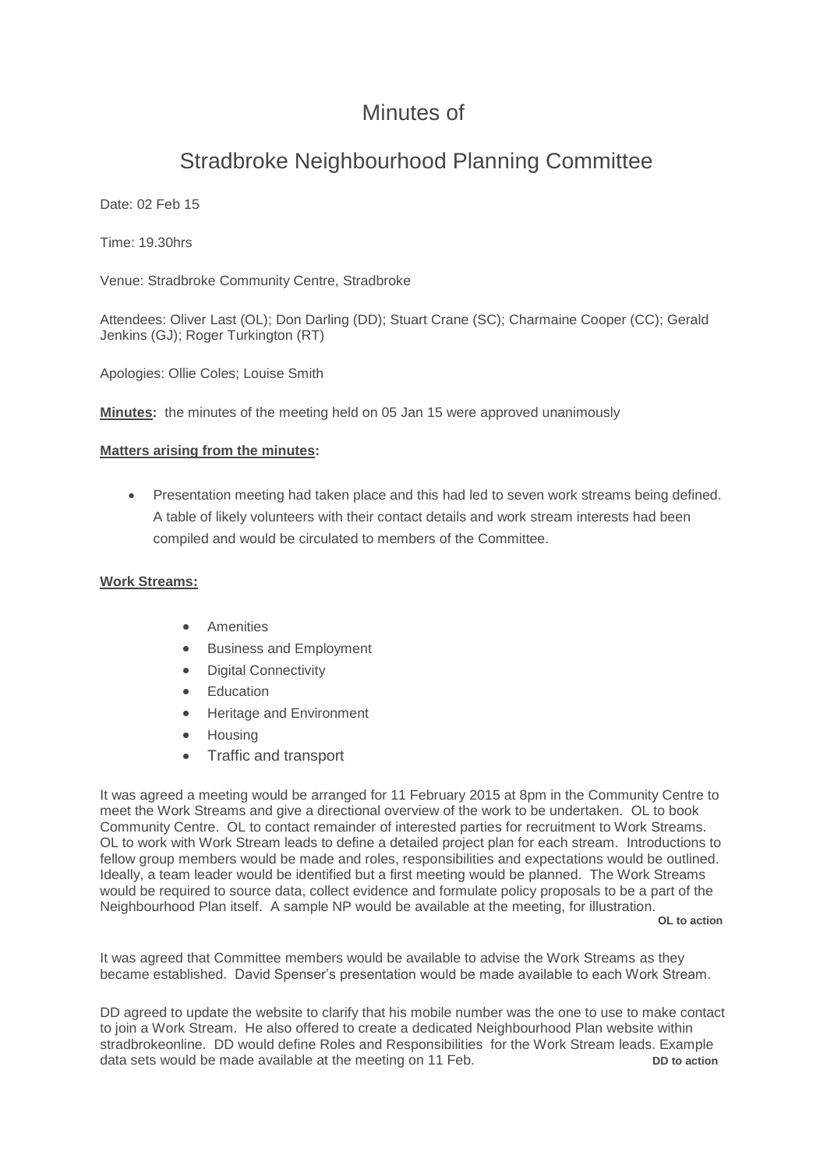## Minutes of

# Stradbroke Neighbourhood Planning Committee

Date: 02 Feb 15

Time: 19.30hrs

Venue: Stradbroke Community Centre, Stradbroke

Attendees: Oliver Last (OL); Don Darling (DD); Stuart Crane (SC); Charmaine Cooper (CC); Gerald Jenkins (GJ); Roger Turkington (RT)

Apologies: Ollie Coles; Louise Smith

**Minutes:** the minutes of the meeting held on 05 Jan 15 were approved unanimously

#### **Matters arising from the minutes:**

 Presentation meeting had taken place and this had led to seven work streams being defined. A table of likely volunteers with their contact details and work stream interests had been compiled and would be circulated to members of the Committee.

#### **Work Streams:**

- Amenities
- Business and Employment
- Digital Connectivity
- Education
- Heritage and Environment
- Housing
- Traffic and transport

It was agreed a meeting would be arranged for 11 February 2015 at 8pm in the Community Centre to meet the Work Streams and give a directional overview of the work to be undertaken. OL to book Community Centre. OL to contact remainder of interested parties for recruitment to Work Streams. OL to work with Work Stream leads to define a detailed project plan for each stream. Introductions to fellow group members would be made and roles, responsibilities and expectations would be outlined. Ideally, a team leader would be identified but a first meeting would be planned. The Work Streams would be required to source data, collect evidence and formulate policy proposals to be a part of the Neighbourhood Plan itself. A sample NP would be available at the meeting, for illustration. **OL to action**

It was agreed that Committee members would be available to advise the Work Streams as they became established. David Spenser's presentation would be made available to each Work Stream.

DD agreed to update the website to clarify that his mobile number was the one to use to make contact to join a Work Stream. He also offered to create a dedicated Neighbourhood Plan website within stradbrokeonline. DD would define Roles and Responsibilities for the Work Stream leads. Example data sets would be made available at the meeting on 11 Feb. **DEM DD** to action